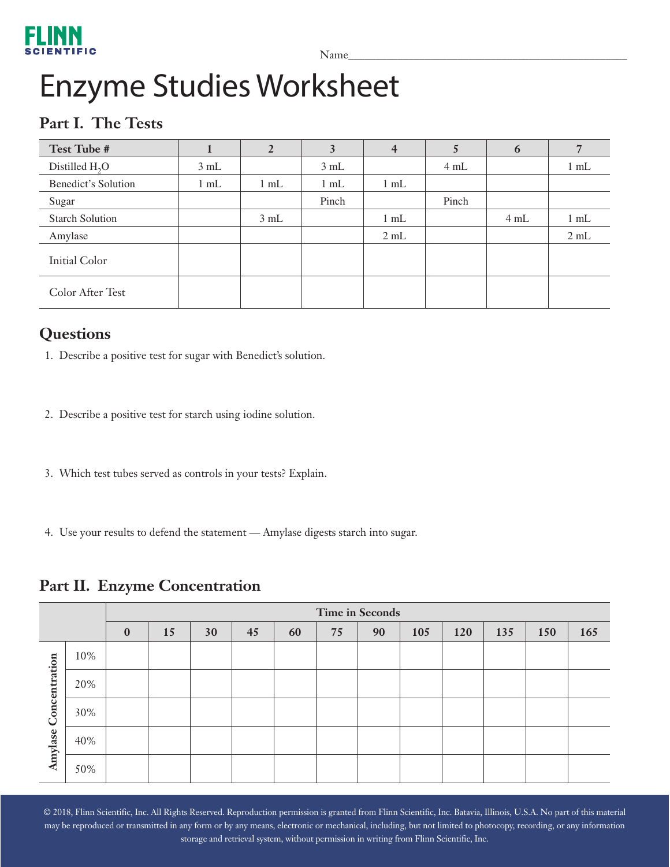# FLINN

Name\_\_\_\_\_\_\_\_\_\_\_\_\_\_\_\_\_\_\_\_\_\_\_\_\_\_\_\_\_\_\_\_\_\_\_\_\_\_\_\_\_\_\_\_\_\_\_\_\_\_\_

# Enzyme Studies Worksheet

## **Part I. The Tests**

| Test Tube #            |                | 2              | 3      | $\overline{4}$ | 5     | 6    |                |
|------------------------|----------------|----------------|--------|----------------|-------|------|----------------|
| Distilled $H2O$        | 3 mL           |                | 3 mL   |                | 4 mL  |      | $1 \text{ mL}$ |
| Benedict's Solution    | $1 \text{ mL}$ | $1 \text{ mL}$ | $1$ mL | $1 \text{ mL}$ |       |      |                |
| Sugar                  |                |                | Pinch  |                | Pinch |      |                |
| <b>Starch Solution</b> |                | 3 mL           |        | $1$ mL         |       | 4 mL | $1 \text{ mL}$ |
| Amylase                |                |                |        | 2 mL           |       |      | 2 mL           |
| Initial Color          |                |                |        |                |       |      |                |
| Color After Test       |                |                |        |                |       |      |                |

#### **Questions**

1. Describe a positive test for sugar with Benedict's solution.

- 2. Describe a positive test for starch using iodine solution.
- 3. Which test tubes served as controls in your tests? Explain.
- 4. Use your results to defend the statement Amylase digests starch into sugar.

#### **Part II. Enzyme Concentration**

|               |     | Time in Seconds |    |    |    |    |    |    |     |     |     |     |     |
|---------------|-----|-----------------|----|----|----|----|----|----|-----|-----|-----|-----|-----|
|               |     | $\bf{0}$        | 15 | 30 | 45 | 60 | 75 | 90 | 105 | 120 | 135 | 150 | 165 |
|               | 10% |                 |    |    |    |    |    |    |     |     |     |     |     |
| Concentration | 20% |                 |    |    |    |    |    |    |     |     |     |     |     |
|               | 30% |                 |    |    |    |    |    |    |     |     |     |     |     |
| Amylase       | 40% |                 |    |    |    |    |    |    |     |     |     |     |     |
|               | 50% |                 |    |    |    |    |    |    |     |     |     |     |     |

© 2018, Flinn Scientific, Inc. All Rights Reserved. Reproduction permission is granted from Flinn Scientific, Inc. Batavia, Illinois, U.S.A. No part of this material may be reproduced or transmitted in any form or by any means, electronic or mechanical, including, but not limited to photocopy, recording, or any information storage and retrieval system, without permission in writing from Flinn Scientific, Inc.